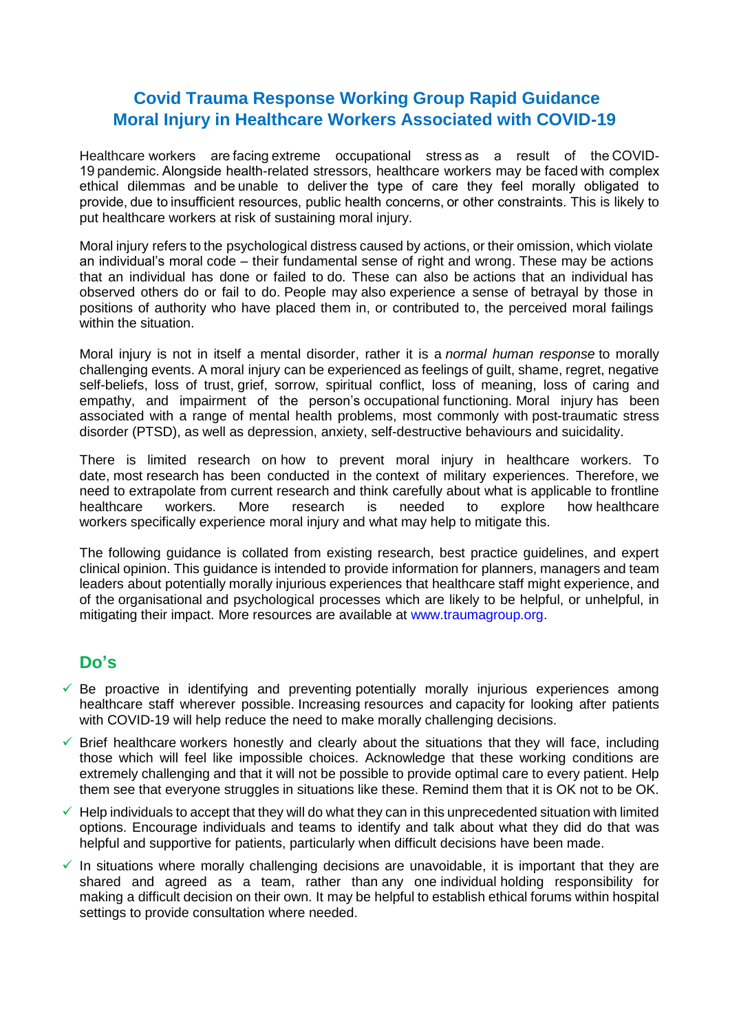## **Covid Trauma Response Working Group Rapid Guidance Moral Injury in Healthcare Workers Associated with COVID-19**

Healthcare workers are facing extreme occupational stress as a result of the COVID-19 pandemic. Alongside health-related stressors, healthcare workers may be faced with complex ethical dilemmas and be unable to deliver the type of care they feel morally obligated to provide, due to insufficient resources, public health concerns, or other constraints. This is likely to put healthcare workers at risk of sustaining moral injury.

Moral injury refers to the psychological distress caused by actions, or their omission, which violate an individual's moral code – their fundamental sense of right and wrong. These may be actions that an individual has done or failed to do. These can also be actions that an individual has observed others do or fail to do. People may also experience a sense of betrayal by those in positions of authority who have placed them in, or contributed to, the perceived moral failings within the situation.

Moral injury is not in itself a mental disorder, rather it is a *normal human response* to morally challenging events. A moral injury can be experienced as feelings of guilt, shame, regret, negative self-beliefs, loss of trust, grief, sorrow, spiritual conflict, loss of meaning, loss of caring and empathy, and impairment of the person's occupational functioning. Moral injury has been associated with a range of mental health problems, most commonly with post-traumatic stress disorder (PTSD), as well as depression, anxiety, self-destructive behaviours and suicidality.

There is limited research on how to prevent moral injury in healthcare workers. To date, most research has been conducted in the context of military experiences. Therefore, we need to extrapolate from current research and think carefully about what is applicable to frontline healthcare workers. More research is needed to explore how healthcare workers specifically experience moral injury and what may help to mitigate this.

The following guidance is collated from existing research, best practice guidelines, and expert clinical opinion. This guidance is intended to provide information for planners, managers and team leaders about potentially morally injurious experiences that healthcare staff might experience, and of the organisational and psychological processes which are likely to be helpful, or unhelpful, in mitigating their impact. More resources are available at [www.traumagroup.org.](http://www.traumagroup.org/)

## **Do's**

- $\checkmark$  Be proactive in identifying and preventing potentially morally injurious experiences among healthcare staff wherever possible. Increasing resources and capacity for looking after patients with COVID-19 will help reduce the need to make morally challenging decisions.
- $\checkmark$  Brief healthcare workers honestly and clearly about the situations that they will face, including those which will feel like impossible choices. Acknowledge that these working conditions are extremely challenging and that it will not be possible to provide optimal care to every patient. Help them see that everyone struggles in situations like these. Remind them that it is OK not to be OK.
- $\checkmark$  Help individuals to accept that they will do what they can in this unprecedented situation with limited options. Encourage individuals and teams to identify and talk about what they did do that was helpful and supportive for patients, particularly when difficult decisions have been made.
- $\checkmark$  In situations where morally challenging decisions are unavoidable, it is important that they are shared and agreed as a team, rather than any one individual holding responsibility for making a difficult decision on their own. It may be helpful to establish ethical forums within hospital settings to provide consultation where needed.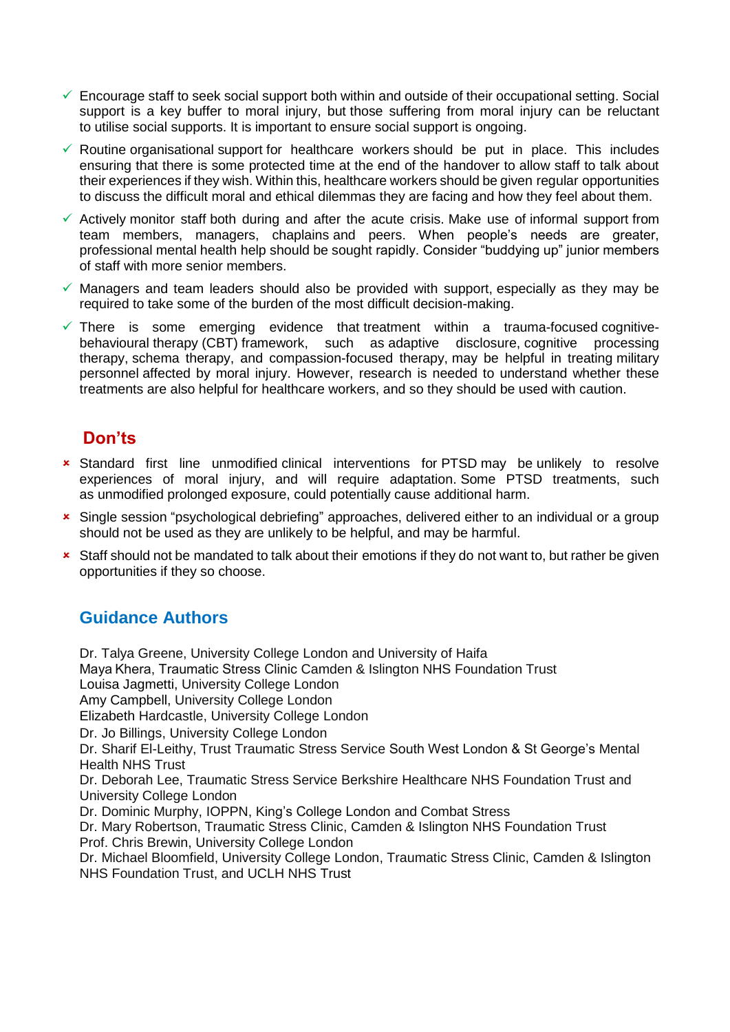- $\checkmark$  Encourage staff to seek social support both within and outside of their occupational setting. Social support is a key buffer to moral injury, but those suffering from moral injury can be reluctant to utilise social supports. It is important to ensure social support is ongoing.
- $\checkmark$  Routine organisational support for healthcare workers should be put in place. This includes ensuring that there is some protected time at the end of the handover to allow staff to talk about their experiences if they wish. Within this, healthcare workers should be given regular opportunities to discuss the difficult moral and ethical dilemmas they are facing and how they feel about them.
- $\checkmark$  Actively monitor staff both during and after the acute crisis. Make use of informal support from team members, managers, chaplains and peers. When people's needs are greater, professional mental health help should be sought rapidly. Consider "buddying up" junior members of staff with more senior members.
- $\checkmark$  Managers and team leaders should also be provided with support, especially as they may be required to take some of the burden of the most difficult decision-making.
- $\checkmark$  There is some emerging evidence that treatment within a trauma-focused cognitivebehavioural therapy (CBT) framework, such as adaptive disclosure, cognitive processing therapy, schema therapy, and compassion-focused therapy, may be helpful in treating military personnel affected by moral injury. However, research is needed to understand whether these treatments are also helpful for healthcare workers, and so they should be used with caution.

## **Don'ts**

- Standard first line unmodified clinical interventions for PTSD may be unlikely to resolve experiences of moral injury, and will require adaptation. Some PTSD treatments, such as unmodified prolonged exposure, could potentially cause additional harm.
- Single session "psychological debriefing" approaches, delivered either to an individual or a group should not be used as they are unlikely to be helpful, and may be harmful.
- **x** Staff should not be mandated to talk about their emotions if they do not want to, but rather be given opportunities if they so choose.

# **Guidance Authors**

Dr. Talya Greene, University College London and University of Haifa Maya Khera, Traumatic Stress Clinic Camden & Islington NHS Foundation Trust Louisa Jagmetti, University College London Amy Campbell, University College London Elizabeth Hardcastle, University College London Dr. Jo Billings, University College London Dr. Sharif El-Leithy, Trust Traumatic Stress Service South West London & St George's Mental Health NHS Trust Dr. Deborah Lee, Traumatic Stress Service Berkshire Healthcare NHS Foundation Trust and University College London Dr. Dominic Murphy, IOPPN, King's College London and Combat Stress Dr. Mary Robertson, Traumatic Stress Clinic, Camden & Islington NHS Foundation Trust Prof. Chris Brewin, University College London Dr. Michael Bloomfield, University College London, Traumatic Stress Clinic, Camden & Islington NHS Foundation Trust, and UCLH NHS Trust